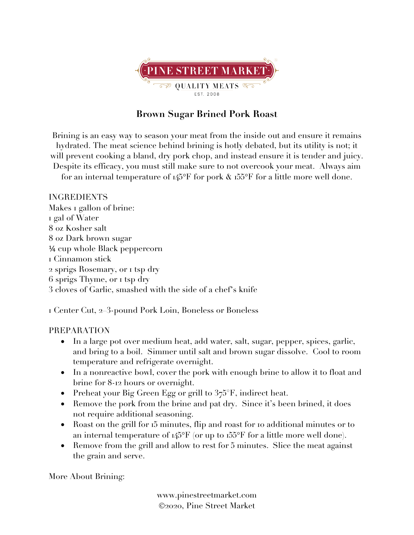

## **Brown Sugar Brined Pork Roast**

Brining is an easy way to season your meat from the inside out and ensure it remains hydrated. The meat science behind brining is hotly debated, but its utility is not; it will prevent cooking a bland, dry pork chop, and instead ensure it is tender and juicy. Despite its efficacy, you must still make sure to not overcook your meat. Always aim for an internal temperature of  $145^{\circ}$ F for pork  $\&$  155 $^{\circ}$ F for a little more well done.

INGREDIENTS Makes 1 gallon of brine: gal of Water oz Kosher salt oz Dark brown sugar ¼ cup whole Black peppercorn Cinnamon stick sprigs Rosemary, or 1 tsp dry sprigs Thyme, or 1 tsp dry cloves of Garlic, smashed with the side of a chef's knife

1 Center Cut, 2–3-pound Pork Loin, Boneless or Boneless

## PREPARATION

- In a large pot over medium heat, add water, salt, sugar, pepper, spices, garlic, and bring to a boil. Simmer until salt and brown sugar dissolve. Cool to room temperature and refrigerate overnight.
- In a nonreactive bowl, cover the pork with enough brine to allow it to float and brine for 8-12 hours or overnight.
- Preheat your Big Green Egg or grill to  $375^{\circ}$ F, indirect heat.
- Remove the pork from the brine and pat dry. Since it's been brined, it does not require additional seasoning.
- Roast on the grill for 15 minutes, flip and roast for 10 additional minutes or to an internal temperature of  $145^{\circ}F$  (or up to  $155^{\circ}F$  for a little more well done).
- Remove from the grill and allow to rest for 5 minutes. Slice the meat against the grain and serve.

More About Brining:

www.pinestreetmarket.com Ó2020, Pine Street Market